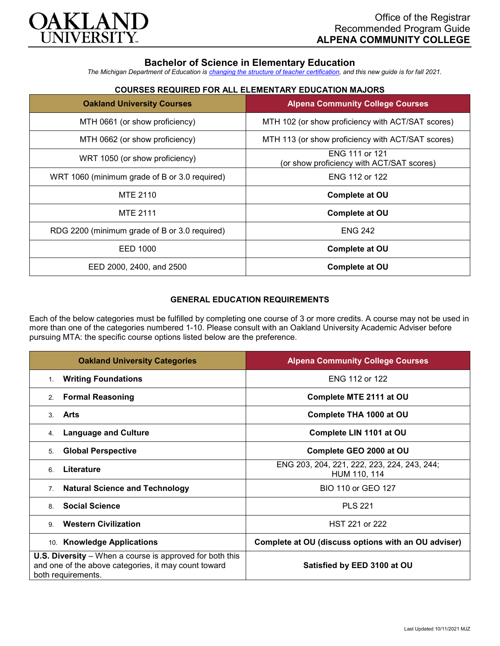

# **Bachelor of Science in Elementary Education**

*The Michigan Department of Education is [changing the structure of teacher certification,](https://docs.google.com/document/d/1W1uUK14Njx6WAB56T4jHbat65OZyg6TS04LdNWMXEcI/edit) and this new guide is for fall 2021.*

## **COURSES REQUIRED FOR ALL ELEMENTARY EDUCATION MAJORS**

| <b>Oakland University Courses</b>             | <b>Alpena Community College Courses</b>                     |
|-----------------------------------------------|-------------------------------------------------------------|
| MTH 0661 (or show proficiency)                | MTH 102 (or show proficiency with ACT/SAT scores)           |
| MTH 0662 (or show proficiency)                | MTH 113 (or show proficiency with ACT/SAT scores)           |
| WRT 1050 (or show proficiency)                | ENG 111 or 121<br>(or show proficiency with ACT/SAT scores) |
| WRT 1060 (minimum grade of B or 3.0 required) | ENG 112 or 122                                              |
| MTE 2110                                      | Complete at OU                                              |
| <b>MTE 2111</b>                               | <b>Complete at OU</b>                                       |
| RDG 2200 (minimum grade of B or 3.0 required) | <b>ENG 242</b>                                              |
| EED 1000                                      | Complete at OU                                              |
| EED 2000, 2400, and 2500                      | Complete at OU                                              |

### **GENERAL EDUCATION REQUIREMENTS**

Each of the below categories must be fulfilled by completing one course of 3 or more credits. A course may not be used in more than one of the categories numbered 1-10. Please consult with an Oakland University Academic Adviser before pursuing MTA: the specific course options listed below are the preference.

| <b>Oakland University Categories</b>                                                                                                          | <b>Alpena Community College Courses</b>                     |
|-----------------------------------------------------------------------------------------------------------------------------------------------|-------------------------------------------------------------|
| <b>Writing Foundations</b><br>1.                                                                                                              | ENG 112 or 122                                              |
| <b>Formal Reasoning</b><br>2.                                                                                                                 | Complete MTE 2111 at OU                                     |
| Arts<br>$\mathcal{S}$                                                                                                                         | Complete THA 1000 at OU                                     |
| <b>Language and Culture</b><br>4.                                                                                                             | Complete LIN 1101 at OU                                     |
| <b>Global Perspective</b><br>5.                                                                                                               | Complete GEO 2000 at OU                                     |
| Literature<br>6                                                                                                                               | ENG 203, 204, 221, 222, 223, 224, 243, 244;<br>HUM 110, 114 |
| <b>Natural Science and Technology</b><br>7 <sub>1</sub>                                                                                       | <b>BIO 110 or GEO 127</b>                                   |
| <b>Social Science</b><br>8                                                                                                                    | <b>PLS 221</b>                                              |
| <b>Western Civilization</b><br>9                                                                                                              | HST 221 or 222                                              |
| 10. Knowledge Applications                                                                                                                    | Complete at OU (discuss options with an OU adviser)         |
| <b>U.S. Diversity</b> – When a course is approved for both this<br>and one of the above categories, it may count toward<br>both requirements. | Satisfied by EED 3100 at OU                                 |